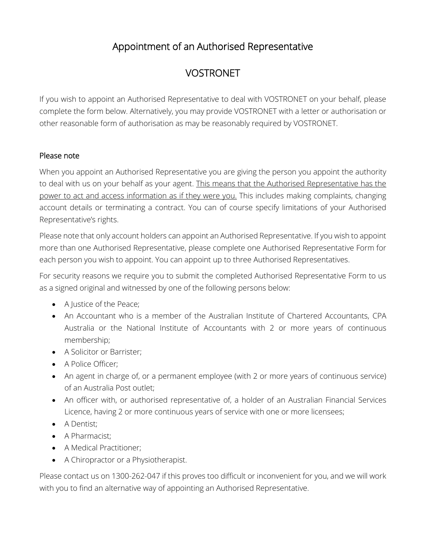# Appointment of an Authorised Representative

# VOSTRONET

If you wish to appoint an Authorised Representative to deal with VOSTRONET on your behalf, please complete the form below. Alternatively, you may provide VOSTRONET with a letter or authorisation or other reasonable form of authorisation as may be reasonably required by VOSTRONET.

# Please note

When you appoint an Authorised Representative you are giving the person you appoint the authority to deal with us on your behalf as your agent. This means that the Authorised Representative has the power to act and access information as if they were you. This includes making complaints, changing account details or terminating a contract. You can of course specify limitations of your Authorised Representative's rights.

Please note that only account holders can appoint an Authorised Representative. If you wish to appoint more than one Authorised Representative, please complete one Authorised Representative Form for each person you wish to appoint. You can appoint up to three Authorised Representatives.

For security reasons we require you to submit the completed Authorised Representative Form to us as a signed original and witnessed by one of the following persons below:

- A Justice of the Peace;
- An Accountant who is a member of the Australian Institute of Chartered Accountants, CPA Australia or the National Institute of Accountants with 2 or more years of continuous membership;
- A Solicitor or Barrister;
- A Police Officer;
- An agent in charge of, or a permanent employee (with 2 or more years of continuous service) of an Australia Post outlet;
- An officer with, or authorised representative of, a holder of an Australian Financial Services Licence, having 2 or more continuous years of service with one or more licensees;
- A Dentist;
- A Pharmacist;
- A Medical Practitioner:
- A Chiropractor or a Physiotherapist.

Please contact us on 1300-262-047 if this proves too difficult or inconvenient for you, and we will work with you to find an alternative way of appointing an Authorised Representative.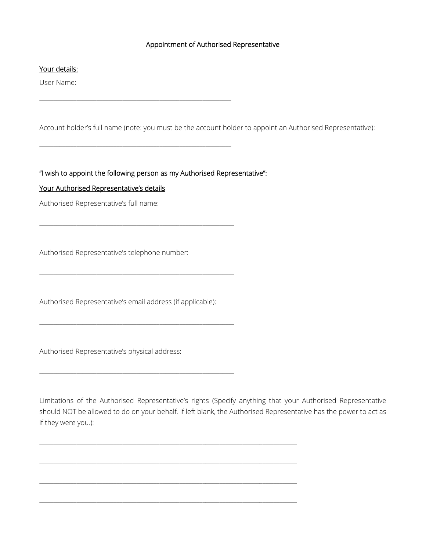### Appointment of Authorised Representative

#### Your details:

User Name:

Account holder's full name (note: you must be the account holder to appoint an Authorised Representative):

"I wish to appoint the following person as my Authorised Representative":

\_\_\_\_\_\_\_\_\_\_\_\_\_\_\_\_\_\_\_\_\_\_\_\_\_\_\_\_\_\_\_\_\_\_\_\_\_\_\_\_\_\_\_\_\_\_\_\_\_\_\_\_\_\_\_\_\_\_\_\_\_\_\_\_\_\_\_

\_\_\_\_\_\_\_\_\_\_\_\_\_\_\_\_\_\_\_\_\_\_\_\_\_\_\_\_\_\_\_\_\_\_\_\_\_\_\_\_\_\_\_\_\_\_\_\_\_\_\_\_\_\_\_\_\_\_\_\_\_\_\_\_\_\_\_

\_\_\_\_\_\_\_\_\_\_\_\_\_\_\_\_\_\_\_\_\_\_\_\_\_\_\_\_\_\_\_\_\_\_\_\_\_\_\_\_\_\_\_\_\_\_\_\_\_\_\_\_\_\_\_\_\_\_\_\_\_\_\_\_\_\_\_\_

\_\_\_\_\_\_\_\_\_\_\_\_\_\_\_\_\_\_\_\_\_\_\_\_\_\_\_\_\_\_\_\_\_\_\_\_\_\_\_\_\_\_\_\_\_\_\_\_\_\_\_\_\_\_\_\_\_\_\_\_\_\_\_\_\_\_\_\_

\_\_\_\_\_\_\_\_\_\_\_\_\_\_\_\_\_\_\_\_\_\_\_\_\_\_\_\_\_\_\_\_\_\_\_\_\_\_\_\_\_\_\_\_\_\_\_\_\_\_\_\_\_\_\_\_\_\_\_\_\_\_\_\_\_\_\_\_

\_\_\_\_\_\_\_\_\_\_\_\_\_\_\_\_\_\_\_\_\_\_\_\_\_\_\_\_\_\_\_\_\_\_\_\_\_\_\_\_\_\_\_\_\_\_\_\_\_\_\_\_\_\_\_\_\_\_\_\_\_\_\_\_\_\_\_\_

 $\Box$  . The contribution of the contribution of the contribution of the contribution of the contribution of the contribution of the contribution of the contribution of the contribution of the contribution of the contributi

 $\_$  ,  $\_$  ,  $\_$  ,  $\_$  ,  $\_$  ,  $\_$  ,  $\_$  ,  $\_$  ,  $\_$  ,  $\_$  ,  $\_$  ,  $\_$  ,  $\_$  ,  $\_$  ,  $\_$  ,  $\_$  ,  $\_$  ,  $\_$  ,  $\_$  ,  $\_$  ,  $\_$  ,  $\_$  ,  $\_$  ,  $\_$  ,  $\_$  ,  $\_$  ,  $\_$  ,  $\_$  ,  $\_$  ,  $\_$  ,  $\_$  ,  $\_$  ,  $\_$  ,  $\_$  ,  $\_$  ,  $\_$  ,  $\_$  ,

 $\_$  ,  $\_$  ,  $\_$  ,  $\_$  ,  $\_$  ,  $\_$  ,  $\_$  ,  $\_$  ,  $\_$  ,  $\_$  ,  $\_$  ,  $\_$  ,  $\_$  ,  $\_$  ,  $\_$  ,  $\_$  ,  $\_$  ,  $\_$  ,  $\_$  ,  $\_$  ,  $\_$  ,  $\_$  ,  $\_$  ,  $\_$  ,  $\_$  ,  $\_$  ,  $\_$  ,  $\_$  ,  $\_$  ,  $\_$  ,  $\_$  ,  $\_$  ,  $\_$  ,  $\_$  ,  $\_$  ,  $\_$  ,  $\_$  ,

 $\Box$  . The contribution of the contribution of the contribution of the contribution of the contribution of the contribution of the contribution of the contribution of the contribution of the contribution of the contributi

#### Your Authorised Representative's details

Authorised Representative's full name:

Authorised Representative's telephone number:

Authorised Representative's email address (if applicable):

Authorised Representative's physical address:

Limitations of the Authorised Representative's rights (Specify anything that your Authorised Representative should NOT be allowed to do on your behalf. If left blank, the Authorised Representative has the power to act as if they were you.):